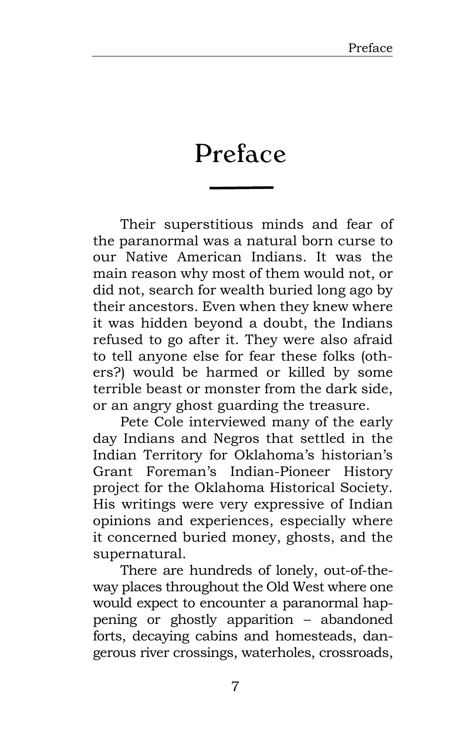## Preface

Their superstitious minds and fear of the paranormal was a natural born curse to our Native American Indians. It was the main reason why most of them would not, or did not, search for wealth buried long ago by their ancestors. Even when they knew where it was hidden beyond a doubt, the Indians refused to go after it. They were also afraid to tell anyone else for fear these folks (others?) would be harmed or killed by some terrible beast or monster from the dark side, or an angry ghost guarding the treasure.

Pete Cole interviewed many of the early day Indians and Negros that settled in the Indian Territory for Oklahoma's historian's Grant Foreman's Indian-Pioneer History project for the Oklahoma Historical Society. His writings were very expressive of Indian opinions and experiences, especially where it concerned buried money, ghosts, and the supernatural.

There are hundreds of lonely, out-of-theway places throughout the Old West where one would expect to encounter a paranormal happening or ghostly apparition – abandoned forts, decaying cabins and homesteads, dangerous river crossings, waterholes, crossroads,